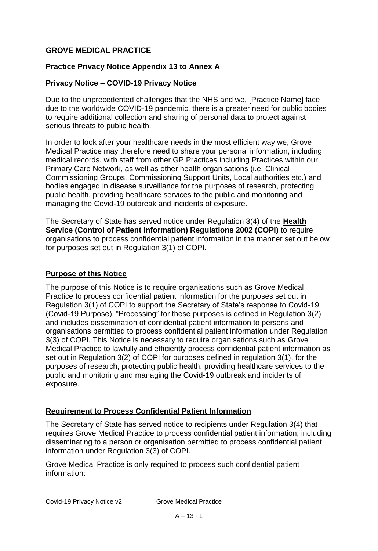# **GROVE MEDICAL PRACTICE**

### **Practice Privacy Notice Appendix 13 to Annex A**

### **Privacy Notice – COVID-19 Privacy Notice**

Due to the unprecedented challenges that the NHS and we, [Practice Name] face due to the worldwide COVID-19 pandemic, there is a greater need for public bodies to require additional collection and sharing of personal data to protect against serious threats to public health.

In order to look after your healthcare needs in the most efficient way we, Grove Medical Practice may therefore need to share your personal information, including medical records, with staff from other GP Practices including Practices within our Primary Care Network, as well as other health organisations (i.e. Clinical Commissioning Groups, Commissioning Support Units, Local authorities etc.) and bodies engaged in disease surveillance for the purposes of research, protecting public health, providing healthcare services to the public and monitoring and managing the Covid-19 outbreak and incidents of exposure.

The Secretary of State has served notice under Regulation 3(4) of the **Health Service (Control of Patient Information) Regulations 2002 (COPI)** to require organisations to process confidential patient information in the manner set out below for purposes set out in Regulation 3(1) of COPI.

### **Purpose of this Notice**

The purpose of this Notice is to require organisations such as Grove Medical Practice to process confidential patient information for the purposes set out in Regulation 3(1) of COPI to support the Secretary of State's response to Covid-19 (Covid-19 Purpose). "Processing" for these purposes is defined in Regulation 3(2) and includes dissemination of confidential patient information to persons and organisations permitted to process confidential patient information under Regulation 3(3) of COPI. This Notice is necessary to require organisations such as Grove Medical Practice to lawfully and efficiently process confidential patient information as set out in Regulation 3(2) of COPI for purposes defined in regulation 3(1), for the purposes of research, protecting public health, providing healthcare services to the public and monitoring and managing the Covid-19 outbreak and incidents of exposure.

### **Requirement to Process Confidential Patient Information**

The Secretary of State has served notice to recipients under Regulation 3(4) that requires Grove Medical Practice to process confidential patient information, including disseminating to a person or organisation permitted to process confidential patient information under Regulation 3(3) of COPI.

Grove Medical Practice is only required to process such confidential patient information: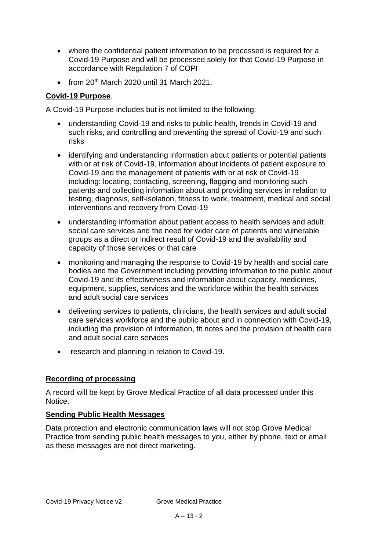- where the confidential patient information to be processed is required for a Covid-19 Purpose and will be processed solely for that Covid-19 Purpose in accordance with Regulation 7 of COPI
- $\bullet$  from 20<sup>th</sup> March 2020 until 31 March 2021.

# **Covid-19 Purpose**.

A Covid-19 Purpose includes but is not limited to the following:

- understanding Covid-19 and risks to public health, trends in Covid-19 and such risks, and controlling and preventing the spread of Covid-19 and such risks
- identifying and understanding information about patients or potential patients with or at risk of Covid-19, information about incidents of patient exposure to Covid-19 and the management of patients with or at risk of Covid-19 including: locating, contacting, screening, flagging and monitoring such patients and collecting information about and providing services in relation to testing, diagnosis, self-isolation, fitness to work, treatment, medical and social interventions and recovery from Covid-19
- understanding information about patient access to health services and adult social care services and the need for wider care of patients and vulnerable groups as a direct or indirect result of Covid-19 and the availability and capacity of those services or that care
- monitoring and managing the response to Covid-19 by health and social care bodies and the Government including providing information to the public about Covid-19 and its effectiveness and information about capacity, medicines, equipment, supplies, services and the workforce within the health services and adult social care services
- delivering services to patients, clinicians, the health services and adult social care services workforce and the public about and in connection with Covid-19, including the provision of information, fit notes and the provision of health care and adult social care services
- research and planning in relation to Covid-19.

# **Recording of processing**

A record will be kept by Grove Medical Practice of all data processed under this Notice.

### **Sending Public Health Messages**

Data protection and electronic communication laws will not stop Grove Medical Practice from sending public health messages to you, either by phone, text or email as these messages are not direct marketing.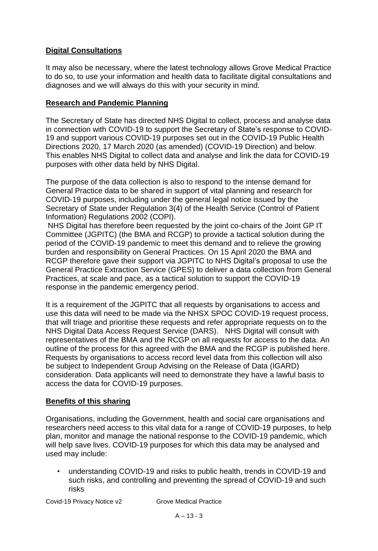# **Digital Consultations**

It may also be necessary, where the latest technology allows Grove Medical Practice to do so, to use your information and health data to facilitate digital consultations and diagnoses and we will always do this with your security in mind.

### **Research and Pandemic Planning**

The Secretary of State has directed NHS Digital to collect, process and analyse data in connection with COVID-19 to support the Secretary of State's response to COVID-19 and support various COVID-19 purposes set out in the COVID-19 Public Health Directions 2020, 17 March 2020 (as amended) (COVID-19 Direction) and below. This enables NHS Digital to collect data and analyse and link the data for COVID-19 purposes with other data held by NHS Digital.

The purpose of the data collection is also to respond to the intense demand for General Practice data to be shared in support of vital planning and research for COVID-19 purposes, including under the general legal notice issued by the Secretary of State under Regulation 3(4) of the Health Service (Control of Patient Information) Regulations 2002 (COPI).

NHS Digital has therefore been requested by the joint co-chairs of the Joint GP IT Committee (JGPITC) (the BMA and RCGP) to provide a tactical solution during the period of the COVID-19 pandemic to meet this demand and to relieve the growing burden and responsibility on General Practices. On 15 April 2020 the BMA and RCGP therefore gave their support via JGPITC to NHS Digital's proposal to use the General Practice Extraction Service (GPES) to deliver a data collection from General Practices, at scale and pace, as a tactical solution to support the COVID-19 response in the pandemic emergency period.

It is a requirement of the JGPITC that all requests by organisations to access and use this data will need to be made via the NHSX SPOC COVID-19 request process, that will triage and prioritise these requests and refer appropriate requests on to the NHS Digital Data Access Request Service (DARS). NHS Digital will consult with representatives of the BMA and the RCGP on all requests for access to the data. An outline of the process for this agreed with the BMA and the RCGP is published here. Requests by organisations to access record level data from this collection will also be subject to Independent Group Advising on the Release of Data (IGARD) consideration. Data applicants will need to demonstrate they have a lawful basis to access the data for COVID-19 purposes.

# **Benefits of this sharing**

Organisations, including the Government, health and social care organisations and researchers need access to this vital data for a range of COVID-19 purposes, to help plan, monitor and manage the national response to the COVID-19 pandemic, which will help save lives. COVID-19 purposes for which this data may be analysed and used may include:

• understanding COVID-19 and risks to public health, trends in COVID-19 and such risks, and controlling and preventing the spread of COVID-19 and such risks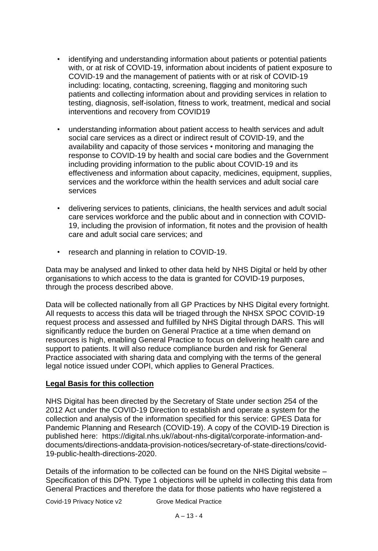- identifying and understanding information about patients or potential patients with, or at risk of COVID-19, information about incidents of patient exposure to COVID-19 and the management of patients with or at risk of COVID-19 including: locating, contacting, screening, flagging and monitoring such patients and collecting information about and providing services in relation to testing, diagnosis, self-isolation, fitness to work, treatment, medical and social interventions and recovery from COVID19
- understanding information about patient access to health services and adult social care services as a direct or indirect result of COVID-19, and the availability and capacity of those services • monitoring and managing the response to COVID-19 by health and social care bodies and the Government including providing information to the public about COVID-19 and its effectiveness and information about capacity, medicines, equipment, supplies, services and the workforce within the health services and adult social care services
- delivering services to patients, clinicians, the health services and adult social care services workforce and the public about and in connection with COVID-19, including the provision of information, fit notes and the provision of health care and adult social care services; and
- research and planning in relation to COVID-19.

Data may be analysed and linked to other data held by NHS Digital or held by other organisations to which access to the data is granted for COVID-19 purposes, through the process described above.

Data will be collected nationally from all GP Practices by NHS Digital every fortnight. All requests to access this data will be triaged through the NHSX SPOC COVID-19 request process and assessed and fulfilled by NHS Digital through DARS. This will significantly reduce the burden on General Practice at a time when demand on resources is high, enabling General Practice to focus on delivering health care and support to patients. It will also reduce compliance burden and risk for General Practice associated with sharing data and complying with the terms of the general legal notice issued under COPI, which applies to General Practices.

#### **Legal Basis for this collection**

NHS Digital has been directed by the Secretary of State under section 254 of the 2012 Act under the COVID-19 Direction to establish and operate a system for the collection and analysis of the information specified for this service: GPES Data for Pandemic Planning and Research (COVID-19). A copy of the COVID-19 Direction is published here: https://digital.nhs.uk//about-nhs-digital/corporate-information-anddocuments/directions-anddata-provision-notices/secretary-of-state-directions/covid-19-public-health-directions-2020.

Details of the information to be collected can be found on the NHS Digital website – Specification of this DPN. Type 1 objections will be upheld in collecting this data from General Practices and therefore the data for those patients who have registered a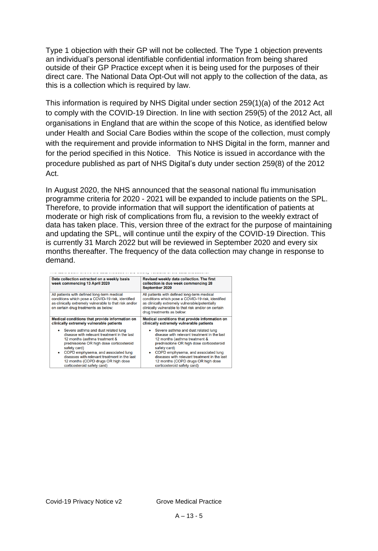Type 1 objection with their GP will not be collected. The Type 1 objection prevents an individual's personal identifiable confidential information from being shared outside of their GP Practice except when it is being used for the purposes of their direct care. The National Data Opt-Out will not apply to the collection of the data, as this is a collection which is required by law.

This information is required by NHS Digital under section 259(1)(a) of the 2012 Act to comply with the COVID-19 Direction. In line with section 259(5) of the 2012 Act, all organisations in England that are within the scope of this Notice, as identified below under Health and Social Care Bodies within the scope of the collection, must comply with the requirement and provide information to NHS Digital in the form, manner and for the period specified in this Notice. This Notice is issued in accordance with the procedure published as part of NHS Digital's duty under section 259(8) of the 2012 Act.

In August 2020, the NHS announced that the seasonal national flu immunisation programme criteria for 2020 - 2021 will be expanded to include patients on the SPL. Therefore, to provide information that will support the identification of patients at moderate or high risk of complications from flu, a revision to the weekly extract of data has taken place. This, version three of the extract for the purpose of maintaining and updating the SPL, will continue until the expiry of the COVID-19 Direction. This is currently 31 March 2022 but will be reviewed in September 2020 and every six months thereafter. The frequency of the data collection may change in response to demand.

| Data collection extracted on a weekly basis<br>week commencing 13 April 2020                                                                                                                       | Revised weekly data collection. The first<br>collection is due week commencing 28<br>September 2020                                                                                                                                     |
|----------------------------------------------------------------------------------------------------------------------------------------------------------------------------------------------------|-----------------------------------------------------------------------------------------------------------------------------------------------------------------------------------------------------------------------------------------|
| All patients with defined long-term medical<br>conditions which pose a COVID-19 risk, identified<br>as clinically extremely vulnerable to that risk and/or<br>on certain drug treatments as below: | All patients with defined long-term medical<br>conditions which pose a COVID-19 risk, identified<br>as clinically extremely vulnerable/potentially<br>clinically vulnerable to that risk and/or on certain<br>drug treatments as below: |
| Medical conditions that provide information on                                                                                                                                                     | Medical conditions that provide information on                                                                                                                                                                                          |
| clinically extremely vulnerable patients                                                                                                                                                           | clinically extremely vulnerable patients                                                                                                                                                                                                |
| Severe asthma and dust related lung                                                                                                                                                                | Severe asthma and dust related lung                                                                                                                                                                                                     |
| disease with relevant treatment in the last                                                                                                                                                        | disease with relevant treatment in the last                                                                                                                                                                                             |
| 12 months (asthma treatment &                                                                                                                                                                      | 12 months (asthma treatment &                                                                                                                                                                                                           |
| prednisolone OR high dose corticosteroid                                                                                                                                                           | prednisolone OR high dose corticosteroid                                                                                                                                                                                                |
| safety card)                                                                                                                                                                                       | safety card)                                                                                                                                                                                                                            |
| COPD emphysema, and associated lung                                                                                                                                                                | COPD emphysema, and associated lung                                                                                                                                                                                                     |
| diseases with relevant treatment in the last                                                                                                                                                       | diseases with relevant treatment in the last                                                                                                                                                                                            |
| 12 months (COPD drugs OR high dose                                                                                                                                                                 | 12 months (COPD drugs OR high dose                                                                                                                                                                                                      |
| corticosteroid safety card)                                                                                                                                                                        | corticosteroid safety card)                                                                                                                                                                                                             |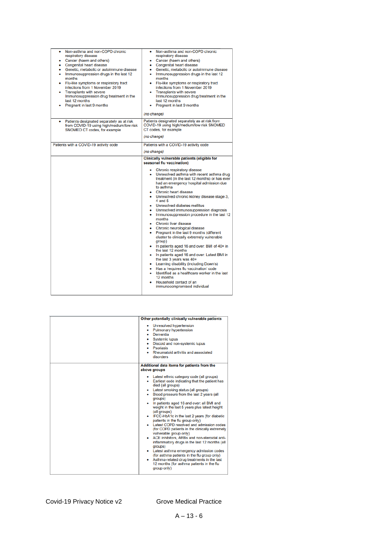| Non-asthma and non-COPD chronic<br>٠<br>respiratory disease<br>Cancer (haem and others)<br><b>Congenital heart disease</b><br>Genetic, metabolic or autoimmune disease<br>Immunosuppression drugs in the last 12<br>months<br>Flu-like symptoms or respiratory tract<br>infections from 1 November 2019<br><b>Transplants with severe</b><br>Immunosuppression drug treatment in the<br>last 12 months<br>Pregnant in last 9 months | Non-asthma and non-COPD chronic<br>٠<br>respiratory disease<br>Cancer (haem and others)<br>• Congenital heart disease<br>• Genetic, metabolic or autoimmune disease<br>• Immunosuppression drugs in the last 12<br>months<br>• Flu-like symptoms or respiratory tract<br>infections from 1 November 2019<br><b>Transplants with severe</b><br>Immunosuppression drug treatment in the<br>last 12 months<br>Pregnant in last 9 months                                                                                                                                                                                                                                                                                                                                                                                                                                                                                                                |
|-------------------------------------------------------------------------------------------------------------------------------------------------------------------------------------------------------------------------------------------------------------------------------------------------------------------------------------------------------------------------------------------------------------------------------------|-----------------------------------------------------------------------------------------------------------------------------------------------------------------------------------------------------------------------------------------------------------------------------------------------------------------------------------------------------------------------------------------------------------------------------------------------------------------------------------------------------------------------------------------------------------------------------------------------------------------------------------------------------------------------------------------------------------------------------------------------------------------------------------------------------------------------------------------------------------------------------------------------------------------------------------------------------|
|                                                                                                                                                                                                                                                                                                                                                                                                                                     | (no change)                                                                                                                                                                                                                                                                                                                                                                                                                                                                                                                                                                                                                                                                                                                                                                                                                                                                                                                                         |
| Patients designated separately as at risk<br>from COVID-19 using high/medium/low risk<br>SNOMED CT codes, for example                                                                                                                                                                                                                                                                                                               | Patients designated separately as at risk from<br>COVID-19 using high/medium/low risk SNOMED<br>CT codes, for example<br>(no change)                                                                                                                                                                                                                                                                                                                                                                                                                                                                                                                                                                                                                                                                                                                                                                                                                |
|                                                                                                                                                                                                                                                                                                                                                                                                                                     |                                                                                                                                                                                                                                                                                                                                                                                                                                                                                                                                                                                                                                                                                                                                                                                                                                                                                                                                                     |
| Patients with a COVID-19 activity code                                                                                                                                                                                                                                                                                                                                                                                              | Patients with a COVID-19 activity code                                                                                                                                                                                                                                                                                                                                                                                                                                                                                                                                                                                                                                                                                                                                                                                                                                                                                                              |
|                                                                                                                                                                                                                                                                                                                                                                                                                                     | (no change)                                                                                                                                                                                                                                                                                                                                                                                                                                                                                                                                                                                                                                                                                                                                                                                                                                                                                                                                         |
|                                                                                                                                                                                                                                                                                                                                                                                                                                     | Clinically vulnerable patients (eligible for<br>seasonal flu vaccination)                                                                                                                                                                                                                                                                                                                                                                                                                                                                                                                                                                                                                                                                                                                                                                                                                                                                           |
|                                                                                                                                                                                                                                                                                                                                                                                                                                     | Chronic respiratory disease<br>• Unresolved asthma with recent asthma drug<br>treatment (in the last 12 months) or has ever<br>had an emergency hospital admission due<br>to asthma<br>• Chronic heart disease<br>• Unresolved chronic kidney disease stage 3,<br>4 and 5<br>• Unresolved diabetes mellitus<br>• Unresolved immunosuppression diagnosis<br>• Immunosuppression procedure in the last 12<br>months<br>• Chronic liver disease<br>• Chronic neurological disease<br>Pregnant in the last 9 months (different<br>cluster to clinically extremely vulnerable<br>group)<br>In patients aged 16 and over: BMI of 40+ in<br>the last 12 months<br>In patients aged 16 and over: Latest BMI in<br>٠<br>the last 3 years was 40+<br>Learning disability (including Down's)<br>Has a 'requires flu vaccination' code<br>Identified as a healthcare worker in the last<br>12 months<br>Household contact of an<br>immunocompromised individual |

| Other potentially clinically vulnerable patients<br>Unresolved hypertension<br>Pulmonary hypertension<br>Dementia<br><b>Systemic lupus</b><br>Discoid and non-systemic lupus<br>Psoriasis<br>٠                                                                                                                                                                                                                                                                                                                                                                                                                                                                                                                                                                                                                                                            |
|-----------------------------------------------------------------------------------------------------------------------------------------------------------------------------------------------------------------------------------------------------------------------------------------------------------------------------------------------------------------------------------------------------------------------------------------------------------------------------------------------------------------------------------------------------------------------------------------------------------------------------------------------------------------------------------------------------------------------------------------------------------------------------------------------------------------------------------------------------------|
| Rheumatoid arthritis and associated<br>disorders<br>Additional data items for patients from the<br>above groups                                                                                                                                                                                                                                                                                                                                                                                                                                                                                                                                                                                                                                                                                                                                           |
| • Latest ethnic category code (all groups)<br>• Earliest code indicating that the patient has<br>died (all groups)<br>Latest smoking status (all groups)<br>Blood pressure from the last 2 years (all<br>groups)<br>In patients aged 16 and over: all BMI and<br>weight in the last 5 years plus latest height<br>(all groups)<br>IFCC-HbA1c in the last 2 years (for diabetic<br>patients in the flu group only)<br>Latest COPD resolved and admission codes<br>(for COPD patients in the clinically extremely<br>vulnerable group only)<br>ACE inhibitors. ARBs and non-steroidal anti-<br>inflammatory drugs in the last 12 months (all<br>groups)<br>Latest asthma emergency admission codes<br>(for asthma patients in the flu group only)<br>Asthma-related drug treatments in the last<br>12 months (for asthma patients in the flu<br>group only) |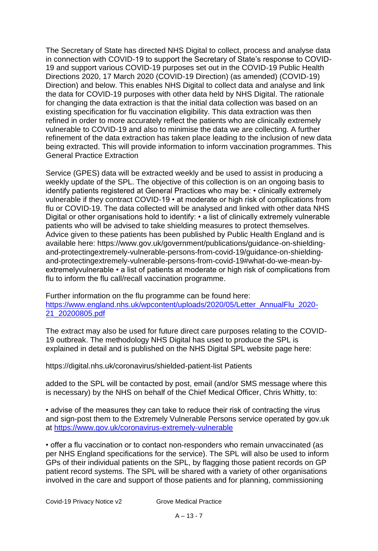The Secretary of State has directed NHS Digital to collect, process and analyse data in connection with COVID-19 to support the Secretary of State's response to COVID-19 and support various COVID-19 purposes set out in the COVID-19 Public Health Directions 2020, 17 March 2020 (COVID-19 Direction) (as amended) (COVID-19) Direction) and below. This enables NHS Digital to collect data and analyse and link the data for COVID-19 purposes with other data held by NHS Digital. The rationale for changing the data extraction is that the initial data collection was based on an existing specification for flu vaccination eligibility. This data extraction was then refined in order to more accurately reflect the patients who are clinically extremely vulnerable to COVID-19 and also to minimise the data we are collecting. A further refinement of the data extraction has taken place leading to the inclusion of new data being extracted. This will provide information to inform vaccination programmes. This General Practice Extraction

Service (GPES) data will be extracted weekly and be used to assist in producing a weekly update of the SPL. The objective of this collection is on an ongoing basis to identify patients registered at General Practices who may be: • clinically extremely vulnerable if they contract COVID-19 • at moderate or high risk of complications from flu or COVID-19. The data collected will be analysed and linked with other data NHS Digital or other organisations hold to identify: • a list of clinically extremely vulnerable patients who will be advised to take shielding measures to protect themselves. Advice given to these patients has been published by Public Health England and is available here: https://www.gov.uk/government/publications/guidance-on-shieldingand-protectingextremely-vulnerable-persons-from-covid-19/guidance-on-shieldingand-protectingextremely-vulnerable-persons-from-covid-19#what-do-we-mean-byextremelyvulnerable • a list of patients at moderate or high risk of complications from flu to inform the flu call/recall vaccination programme.

Further information on the flu programme can be found here: [https://www.england.nhs.uk/wpcontent/uploads/2020/05/Letter\\_AnnualFlu\\_2020-](https://www.england.nhs.uk/wpcontent/uploads/2020/05/Letter_AnnualFlu_2020-21_20200805.pdf) [21\\_20200805.pdf](https://www.england.nhs.uk/wpcontent/uploads/2020/05/Letter_AnnualFlu_2020-21_20200805.pdf)

The extract may also be used for future direct care purposes relating to the COVID-19 outbreak. The methodology NHS Digital has used to produce the SPL is explained in detail and is published on the NHS Digital SPL website page here:

https://digital.nhs.uk/coronavirus/shielded-patient-list Patients

added to the SPL will be contacted by post, email (and/or SMS message where this is necessary) by the NHS on behalf of the Chief Medical Officer, Chris Whitty, to:

• advise of the measures they can take to reduce their risk of contracting the virus and sign-post them to the Extremely Vulnerable Persons service operated by gov.uk at<https://www.gov.uk/coronavirus-extremely-vulnerable>

• offer a flu vaccination or to contact non-responders who remain unvaccinated (as per NHS England specifications for the service). The SPL will also be used to inform GPs of their individual patients on the SPL, by flagging those patient records on GP patient record systems. The SPL will be shared with a variety of other organisations involved in the care and support of those patients and for planning, commissioning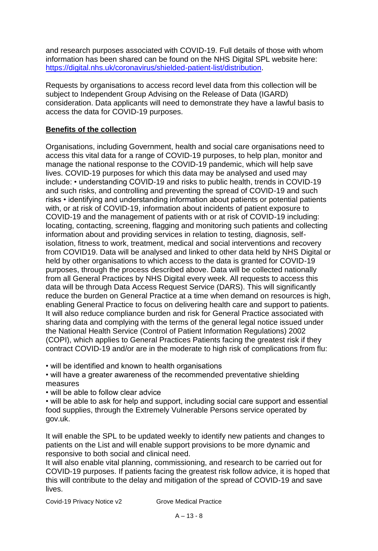and research purposes associated with COVID-19. Full details of those with whom information has been shared can be found on the NHS Digital SPL website here: [https://digital.nhs.uk/coronavirus/shielded-patient-list/distribution.](https://digital.nhs.uk/coronavirus/shielded-patient-list/distribution)

Requests by organisations to access record level data from this collection will be subject to Independent Group Advising on the Release of Data (IGARD) consideration. Data applicants will need to demonstrate they have a lawful basis to access the data for COVID-19 purposes.

# **Benefits of the collection**

Organisations, including Government, health and social care organisations need to access this vital data for a range of COVID-19 purposes, to help plan, monitor and manage the national response to the COVID-19 pandemic, which will help save lives. COVID-19 purposes for which this data may be analysed and used may include: • understanding COVID-19 and risks to public health, trends in COVID-19 and such risks, and controlling and preventing the spread of COVID-19 and such risks • identifying and understanding information about patients or potential patients with, or at risk of COVID-19, information about incidents of patient exposure to COVID-19 and the management of patients with or at risk of COVID-19 including: locating, contacting, screening, flagging and monitoring such patients and collecting information about and providing services in relation to testing, diagnosis, selfisolation, fitness to work, treatment, medical and social interventions and recovery from COVID19. Data will be analysed and linked to other data held by NHS Digital or held by other organisations to which access to the data is granted for COVID-19 purposes, through the process described above. Data will be collected nationally from all General Practices by NHS Digital every week. All requests to access this data will be through Data Access Request Service (DARS). This will significantly reduce the burden on General Practice at a time when demand on resources is high, enabling General Practice to focus on delivering health care and support to patients. It will also reduce compliance burden and risk for General Practice associated with sharing data and complying with the terms of the general legal notice issued under the National Health Service (Control of Patient Information Regulations) 2002 (COPI), which applies to General Practices Patients facing the greatest risk if they contract COVID-19 and/or are in the moderate to high risk of complications from flu:

• will be identified and known to health organisations

• will have a greater awareness of the recommended preventative shielding measures

• will be able to follow clear advice

• will be able to ask for help and support, including social care support and essential food supplies, through the Extremely Vulnerable Persons service operated by gov.uk.

It will enable the SPL to be updated weekly to identify new patients and changes to patients on the List and will enable support provisions to be more dynamic and responsive to both social and clinical need.

It will also enable vital planning, commissioning, and research to be carried out for COVID-19 purposes. If patients facing the greatest risk follow advice, it is hoped that this will contribute to the delay and mitigation of the spread of COVID-19 and save lives.